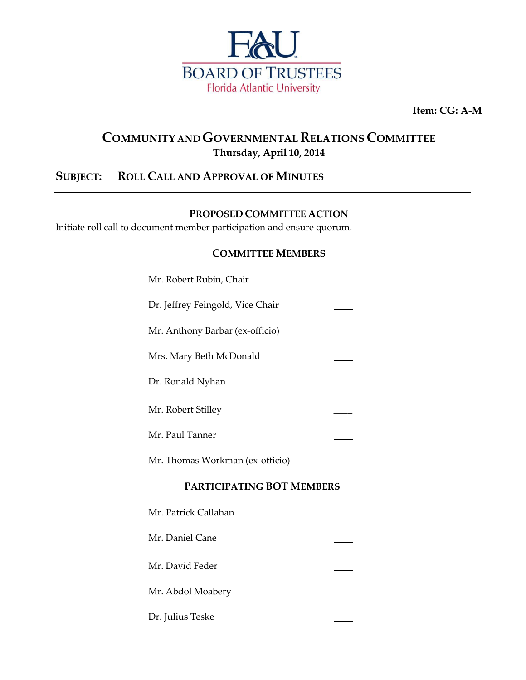

**Item: CG: A-M**

# **COMMUNITY ANDGOVERNMENTAL RELATIONS COMMITTEE Thursday, April 10, 2014**

## **SUBJECT: ROLL CALL AND APPROVAL OF MINUTES**

Dr. Julius Teske

#### **PROPOSED COMMITTEE ACTION**

Initiate roll call to document member participation and ensure quorum.

#### **COMMITTEE MEMBERS**

| Mr. Robert Rubin, Chair          |  |
|----------------------------------|--|
| Dr. Jeffrey Feingold, Vice Chair |  |
| Mr. Anthony Barbar (ex-officio)  |  |
| Mrs. Mary Beth McDonald          |  |
| Dr. Ronald Nyhan                 |  |
| Mr. Robert Stilley               |  |
| Mr. Paul Tanner                  |  |
| Mr. Thomas Workman (ex-officio)  |  |
| <b>PARTICIPATING BOT MEMBERS</b> |  |
| Mr. Patrick Callahan             |  |
| Mr. Daniel Cane                  |  |
| Mr. David Feder                  |  |
| Mr. Abdol Moabery                |  |
|                                  |  |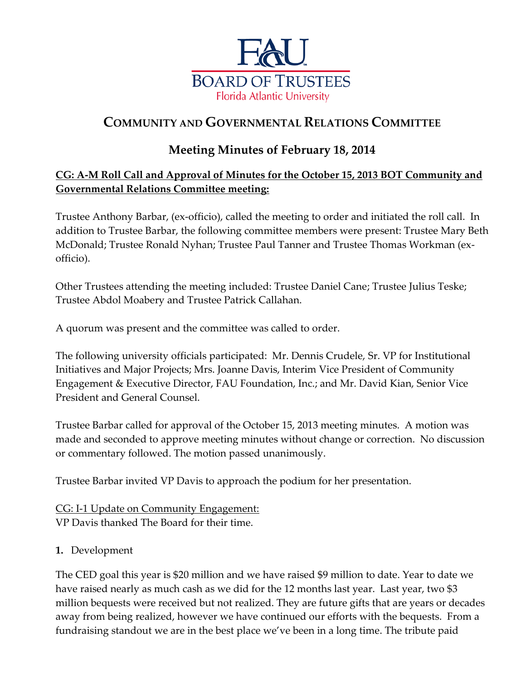

# **COMMUNITY AND GOVERNMENTAL RELATIONS COMMITTEE**

## **Meeting Minutes of February 18, 2014**

### **CG: A-M Roll Call and Approval of Minutes for the October 15, 2013 BOT Community and Governmental Relations Committee meeting:**

Trustee Anthony Barbar, (ex-officio), called the meeting to order and initiated the roll call. In addition to Trustee Barbar, the following committee members were present: Trustee Mary Beth McDonald; Trustee Ronald Nyhan; Trustee Paul Tanner and Trustee Thomas Workman (exofficio).

Other Trustees attending the meeting included: Trustee Daniel Cane; Trustee Julius Teske; Trustee Abdol Moabery and Trustee Patrick Callahan.

A quorum was present and the committee was called to order.

The following university officials participated: Mr. Dennis Crudele, Sr. VP for Institutional Initiatives and Major Projects; Mrs. Joanne Davis, Interim Vice President of Community Engagement & Executive Director, FAU Foundation, Inc.; and Mr. David Kian, Senior Vice President and General Counsel.

Trustee Barbar called for approval of the October 15, 2013 meeting minutes. A motion was made and seconded to approve meeting minutes without change or correction. No discussion or commentary followed. The motion passed unanimously.

Trustee Barbar invited VP Davis to approach the podium for her presentation.

CG: I-1 Update on Community Engagement: VP Davis thanked The Board for their time.

### **1.** Development

The CED goal this year is \$20 million and we have raised \$9 million to date. Year to date we have raised nearly as much cash as we did for the 12 months last year. Last year, two \$3 million bequests were received but not realized. They are future gifts that are years or decades away from being realized, however we have continued our efforts with the bequests. From a fundraising standout we are in the best place we've been in a long time. The tribute paid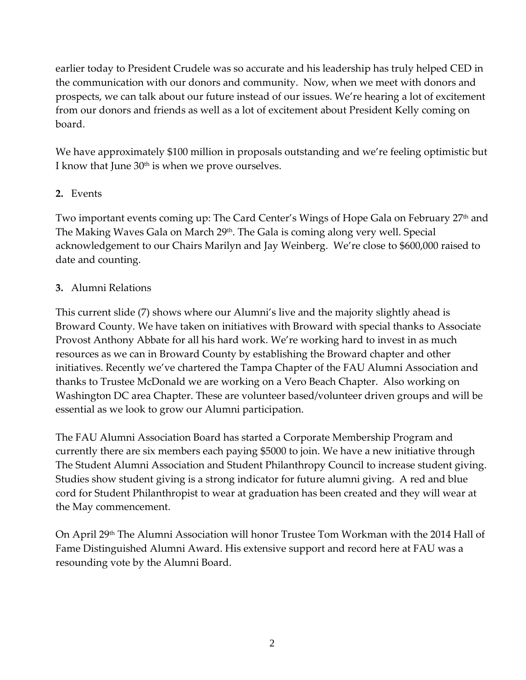earlier today to President Crudele was so accurate and his leadership has truly helped CED in the communication with our donors and community. Now, when we meet with donors and prospects, we can talk about our future instead of our issues. We're hearing a lot of excitement from our donors and friends as well as a lot of excitement about President Kelly coming on board.

We have approximately \$100 million in proposals outstanding and we're feeling optimistic but I know that June  $30<sup>th</sup>$  is when we prove ourselves.

### **2.** Events

Two important events coming up: The Card Center's Wings of Hope Gala on February 27<sup>th</sup> and The Making Waves Gala on March 29<sup>th</sup>. The Gala is coming along very well. Special acknowledgement to our Chairs Marilyn and Jay Weinberg. We're close to \$600,000 raised to date and counting.

### **3.** Alumni Relations

This current slide (7) shows where our Alumni's live and the majority slightly ahead is Broward County. We have taken on initiatives with Broward with special thanks to Associate Provost Anthony Abbate for all his hard work. We're working hard to invest in as much resources as we can in Broward County by establishing the Broward chapter and other initiatives. Recently we've chartered the Tampa Chapter of the FAU Alumni Association and thanks to Trustee McDonald we are working on a Vero Beach Chapter. Also working on Washington DC area Chapter. These are volunteer based/volunteer driven groups and will be essential as we look to grow our Alumni participation.

The FAU Alumni Association Board has started a Corporate Membership Program and currently there are six members each paying \$5000 to join. We have a new initiative through The Student Alumni Association and Student Philanthropy Council to increase student giving. Studies show student giving is a strong indicator for future alumni giving. A red and blue cord for Student Philanthropist to wear at graduation has been created and they will wear at the May commencement.

On April 29th The Alumni Association will honor Trustee Tom Workman with the 2014 Hall of Fame Distinguished Alumni Award. His extensive support and record here at FAU was a resounding vote by the Alumni Board.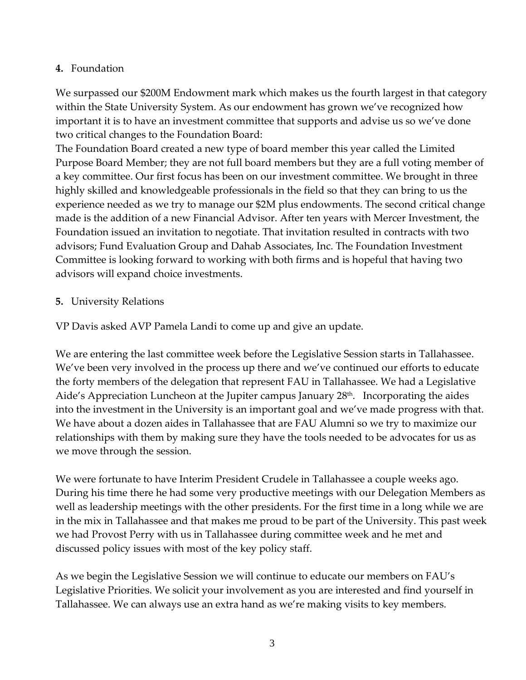#### **4.** Foundation

We surpassed our \$200M Endowment mark which makes us the fourth largest in that category within the State University System. As our endowment has grown we've recognized how important it is to have an investment committee that supports and advise us so we've done two critical changes to the Foundation Board:

The Foundation Board created a new type of board member this year called the Limited Purpose Board Member; they are not full board members but they are a full voting member of a key committee. Our first focus has been on our investment committee. We brought in three highly skilled and knowledgeable professionals in the field so that they can bring to us the experience needed as we try to manage our \$2M plus endowments. The second critical change made is the addition of a new Financial Advisor. After ten years with Mercer Investment, the Foundation issued an invitation to negotiate. That invitation resulted in contracts with two advisors; Fund Evaluation Group and Dahab Associates, Inc. The Foundation Investment Committee is looking forward to working with both firms and is hopeful that having two advisors will expand choice investments.

#### **5.** University Relations

VP Davis asked AVP Pamela Landi to come up and give an update.

We are entering the last committee week before the Legislative Session starts in Tallahassee. We've been very involved in the process up there and we've continued our efforts to educate the forty members of the delegation that represent FAU in Tallahassee. We had a Legislative Aide's Appreciation Luncheon at the Jupiter campus January 28<sup>th</sup>. Incorporating the aides into the investment in the University is an important goal and we've made progress with that. We have about a dozen aides in Tallahassee that are FAU Alumni so we try to maximize our relationships with them by making sure they have the tools needed to be advocates for us as we move through the session.

We were fortunate to have Interim President Crudele in Tallahassee a couple weeks ago. During his time there he had some very productive meetings with our Delegation Members as well as leadership meetings with the other presidents. For the first time in a long while we are in the mix in Tallahassee and that makes me proud to be part of the University. This past week we had Provost Perry with us in Tallahassee during committee week and he met and discussed policy issues with most of the key policy staff.

As we begin the Legislative Session we will continue to educate our members on FAU's Legislative Priorities. We solicit your involvement as you are interested and find yourself in Tallahassee. We can always use an extra hand as we're making visits to key members.